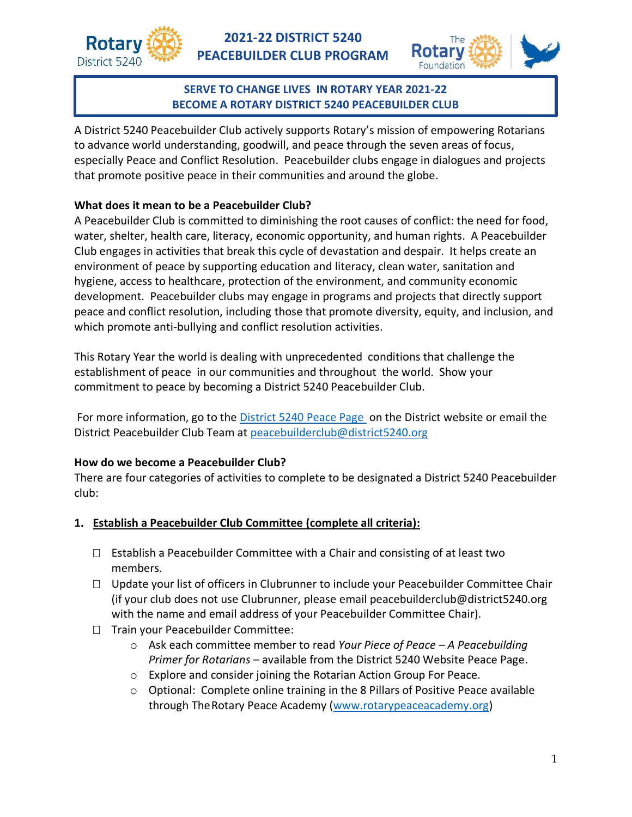



## **SERVE TO CHANGE LIVES IN ROTARY YEAR 2021-22 BECOME A ROTARY DISTRICT 5240 PEACEBUILDER CLUB**

A District 5240 Peacebuilder Club actively supports Rotary's mission of empowering Rotarians to advance world understanding, goodwill, and peace through the seven areas of focus, especially Peace and Conflict Resolution. Peacebuilder clubs engage in dialogues and projects that promote positive peace in their communities and around the globe.

## **What does it mean to be a Peacebuilder Club?**

A Peacebuilder Club is committed to diminishing the root causes of conflict: the need for food, water, shelter, health care, literacy, economic opportunity, and human rights. A Peacebuilder Club engages in activities that break this cycle of devastation and despair. It helps create an environment of peace by supporting education and literacy, clean water, sanitation and hygiene, access to healthcare, protection of the environment, and community economic development. Peacebuilder clubs may engage in programs and projects that directly support peace and conflict resolution, including those that promote diversity, equity, and inclusion, and which promote anti-bullying and conflict resolution activities.

This Rotary Year the world is dealing with unprecedented conditions that challenge the establishment of peace in our communities and throughout the world. Show your commitment to peace by becoming a District 5240 Peacebuilder Club.

For more information, go to the [District 5240 Peace Page o](https://www.rotarydistrict5240.org/sitepage/peace-page-1)n the District website or email the District Peacebuilder Club Team at [peacebuilderclub@district5240.org](mailto:peacebuilderclub@district5240.org)

## **How do we become a Peacebuilder Club?**

There are four categories of activities to complete to be designated a District 5240 Peacebuilder club:

- **1. Establish a Peacebuilder Club Committee (complete all criteria):**
	- $\Box$  Establish a Peacebuilder Committee with a Chair and consisting of at least two members.
	- □ Update your list of officers in Clubrunner to include your Peacebuilder Committee Chair (if your club does not use Clubrunner, please email [peacebuilderclub@district5240.org](mailto:peacebuilderclub@district5240.org) with the name and email address of your Peacebuilder Committee Chair).
	- □ Train your Peacebuilder Committee:
		- o Ask each committee member to read *Your Piece of Peace – A Peacebuilding Primer for Rotarians* – available from the District 5240 Website Peace Page.
		- o Explore and consider joining the Rotarian Action Group For Peace.
		- $\circ$  Optional: Complete online training in the 8 Pillars of Positive Peace available through TheRotary Peace Academy [\(www.rotarypeaceacademy.org\)](http://www.rotarypeaceacademy.org/)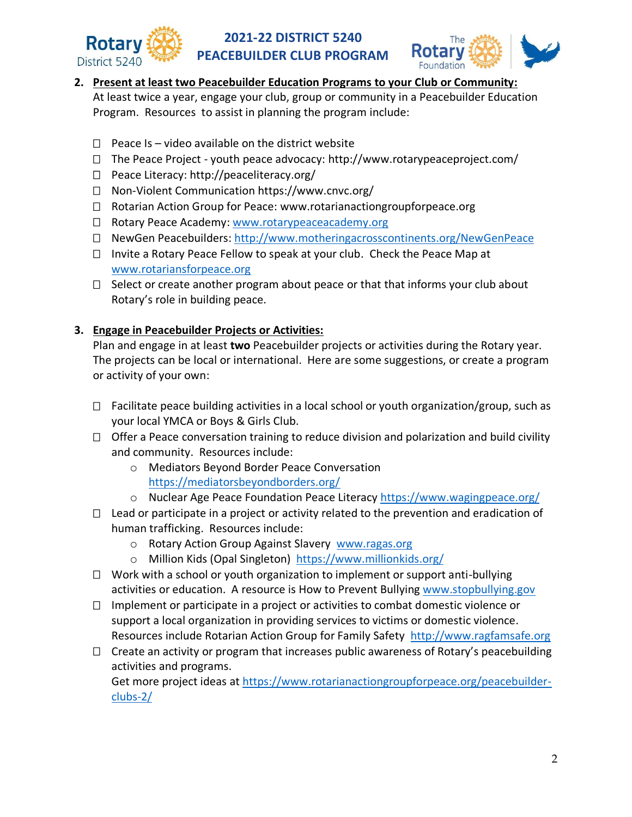



## **2. Present at least two Peacebuilder Education Programs to your Club or Community:**

At least twice a year, engage your club, group or community in a Peacebuilder Education Program. Resources to assist in planning the program include:

- $\Box$  Peace Is video available on the district website
- $\Box$  The Peace Project youth peace advocacy: http://www.rotarypeaceproject.com/
- $\Box$  Peace Literacy:<http://peaceliteracy.org/>
- Non-Violent Communication<https://www.cnvc.org/>
- □ Rotarian Action Group for Peace: [www.rotarianactiongroupforpeace.org](http://www.rotarianactiongroupforpeace.org/)
- □ Rotary Peace Academy: [www.rotarypeaceacademy.org](http://www.rotarypeaceacademy.org/)
- NewGen Peacebuilders:<http://www.motheringacrosscontinents.org/NewGenPeace>
- $\Box$  Invite a Rotary Peace Fellow to speak at your club. Check the Peace Map at [www.rotariansforpeace.org](http://www.rotariansforpeace.org/)
- $\Box$  Select or create another program about peace or that that informs your club about Rotary's role in building peace.

## **3. Engage in Peacebuilder Projects or Activities:**

Plan and engage in at least **two** Peacebuilder projects or activities during the Rotary year. The projects can be local or international. Here are some suggestions, or create a program or activity of your own:

- $\Box$  Facilitate peace building activities in a local school or youth organization/group, such as your local YMCA or Boys & Girls Club.
- $\Box$  Offer a Peace conversation training to reduce division and polarization and build civility and community. Resources include:
	- o Mediators Beyond Border Peace Conversation <https://mediatorsbeyondborders.org/>
	- o Nuclear Age Peace Foundation Peace Literacy<https://www.wagingpeace.org/>
- $\Box$  Lead or participate in a project or activity related to the prevention and eradication of human trafficking. Resources include:
	- o Rotary Action Group Against Slavery [www.ragas.org](http://www.ragas.org/)
	- o Million Kids (Opal Singleton) <https://www.millionkids.org/>
- $\Box$  Work with a school or youth organization to implement or support anti-bullying activities or education. A resource is How to Prevent Bullying [www.stopbullying.gov](http://www.stopbullying.gov/)
- $\Box$  Implement or participate in a project or activities to combat domestic violence or support a local organization in providing services to victims or domestic violence. Resources include Rotarian Action Group for Family Safety [http://www.ragfamsafe.org](http://www.ragfamsafe.org/)
- $\Box$  Create an activity or program that increases public awareness of Rotary's peacebuilding activities and programs.

Get more project ideas at [https://www.rotarianactiongroupforpeace.org/peacebuilder](https://www.rotarianactiongroupforpeace.org/peacebuilder-clubs-2/)[clubs-2/](https://www.rotarianactiongroupforpeace.org/peacebuilder-clubs-2/)